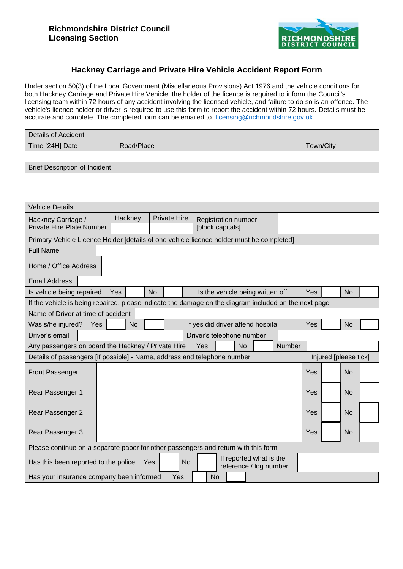

## **Hackney Carriage and Private Hire Vehicle Accident Report Form**

Under section 50(3) of the Local Government (Miscellaneous Provisions) Act 1976 and the vehicle conditions for both Hackney Carriage and Private Hire Vehicle, the holder of the licence is required to inform the Council's licensing team within 72 hours of any accident involving the licensed vehicle, and failure to do so is an offence. The vehicle's licence holder or driver is required to use this form to report the accident within 72 hours. Details must be accurate and complete. The completed form can be emailed to licensing@richmondshire.gov.uk.

| <b>Details of Accident</b>                                                                                           |                                                                                          |                     |  |  |                                                |                       |           |                           |                                   |  |     |  |           |  |
|----------------------------------------------------------------------------------------------------------------------|------------------------------------------------------------------------------------------|---------------------|--|--|------------------------------------------------|-----------------------|-----------|---------------------------|-----------------------------------|--|-----|--|-----------|--|
| Time [24H] Date                                                                                                      | Road/Place                                                                               |                     |  |  |                                                |                       | Town/City |                           |                                   |  |     |  |           |  |
|                                                                                                                      |                                                                                          |                     |  |  |                                                |                       |           |                           |                                   |  |     |  |           |  |
| <b>Brief Description of Incident</b>                                                                                 |                                                                                          |                     |  |  |                                                |                       |           |                           |                                   |  |     |  |           |  |
|                                                                                                                      |                                                                                          |                     |  |  |                                                |                       |           |                           |                                   |  |     |  |           |  |
|                                                                                                                      |                                                                                          |                     |  |  |                                                |                       |           |                           |                                   |  |     |  |           |  |
| <b>Vehicle Details</b>                                                                                               |                                                                                          |                     |  |  |                                                |                       |           |                           |                                   |  |     |  |           |  |
|                                                                                                                      |                                                                                          |                     |  |  |                                                |                       |           |                           |                                   |  |     |  |           |  |
| Hackney Carriage /<br>Private Hire Plate Number                                                                      | Hackney                                                                                  | <b>Private Hire</b> |  |  | <b>Registration number</b><br>[block capitals] |                       |           |                           |                                   |  |     |  |           |  |
|                                                                                                                      | Primary Vehicle Licence Holder [details of one vehicle licence holder must be completed] |                     |  |  |                                                |                       |           |                           |                                   |  |     |  |           |  |
| <b>Full Name</b>                                                                                                     |                                                                                          |                     |  |  |                                                |                       |           |                           |                                   |  |     |  |           |  |
|                                                                                                                      |                                                                                          |                     |  |  |                                                |                       |           |                           |                                   |  |     |  |           |  |
| Home / Office Address                                                                                                |                                                                                          |                     |  |  |                                                |                       |           |                           |                                   |  |     |  |           |  |
| <b>Email Address</b>                                                                                                 |                                                                                          |                     |  |  |                                                |                       |           |                           |                                   |  |     |  |           |  |
| Is vehicle being repaired                                                                                            | Yes                                                                                      | <b>No</b>           |  |  |                                                |                       |           |                           | Is the vehicle being written off  |  | Yes |  | <b>No</b> |  |
| If the vehicle is being repaired, please indicate the damage on the diagram included on the next page                |                                                                                          |                     |  |  |                                                |                       |           |                           |                                   |  |     |  |           |  |
| Name of Driver at time of accident                                                                                   |                                                                                          |                     |  |  |                                                |                       |           |                           |                                   |  |     |  |           |  |
| Was s/he injured?<br>Yes                                                                                             | <b>No</b>                                                                                |                     |  |  |                                                |                       |           |                           | If yes did driver attend hospital |  | Yes |  | <b>No</b> |  |
| Driver's email                                                                                                       |                                                                                          |                     |  |  |                                                |                       |           | Driver's telephone number |                                   |  |     |  |           |  |
| Any passengers on board the Hackney / Private Hire<br>Yes<br><b>No</b><br>Number                                     |                                                                                          |                     |  |  |                                                |                       |           |                           |                                   |  |     |  |           |  |
| Details of passengers [if possible] - Name, address and telephone number                                             |                                                                                          |                     |  |  |                                                | Injured [please tick] |           |                           |                                   |  |     |  |           |  |
| <b>Front Passenger</b>                                                                                               |                                                                                          |                     |  |  |                                                |                       |           |                           |                                   |  | Yes |  | No        |  |
| Rear Passenger 1                                                                                                     |                                                                                          |                     |  |  |                                                |                       |           |                           |                                   |  | Yes |  | No        |  |
|                                                                                                                      |                                                                                          |                     |  |  |                                                |                       |           |                           |                                   |  |     |  |           |  |
| Rear Passenger 2                                                                                                     |                                                                                          |                     |  |  |                                                |                       |           |                           |                                   |  | Yes |  | No        |  |
| Rear Passenger 3                                                                                                     |                                                                                          |                     |  |  |                                                | Yes                   |           | No                        |                                   |  |     |  |           |  |
| Please continue on a separate paper for other passengers and return with this form                                   |                                                                                          |                     |  |  |                                                |                       |           |                           |                                   |  |     |  |           |  |
| If reported what is the<br>Has this been reported to the police<br><b>No</b><br><b>Yes</b><br>reference / log number |                                                                                          |                     |  |  |                                                |                       |           |                           |                                   |  |     |  |           |  |
| Yes<br><b>No</b><br>Has your insurance company been informed                                                         |                                                                                          |                     |  |  |                                                |                       |           |                           |                                   |  |     |  |           |  |